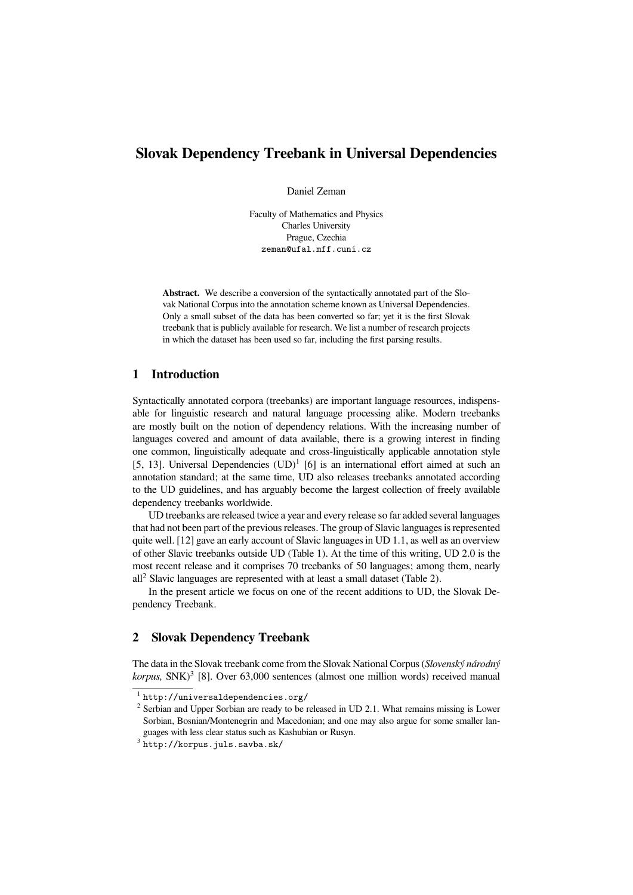# **Slovak Dependency Treebank in Universal Dependencies**

Daniel Zeman

Faculty of Mathematics and Physics Charles University Prague, Czechia zeman@ufal.mff.cuni.cz

**Abstract.** We describe a conversion of the syntactically annotated part of the Slovak National Corpus into the annotation scheme known as Universal Dependencies. Only a small subset of the data has been converted so far; yet it is the first Slovak treebank that is publicly available for research. We list a number of research projects in which the dataset has been used so far, including the first parsing results.

#### **1 Introduction**

Syntactically annotated corpora (treebanks) are important language resources, indispensable for linguistic research and natural language processing alike. Modern treebanks are mostly built on the notion of dependency relations. With the increasing number of languages covered and amount of data available, there is a growing interest in finding one common, linguistically adequate and cross-linguistically applicable annotation style [5, 13]. Universal Dependencies  $(UD)^1$  [6] is an international effort aimed at such an annotation standard; at the same time, UD also releases treebanks annotated according to the UD guidelines, and has arguably become the largest collection of freely available dependency treebanks worldwide.

UD treebanks are released twice a year and every release so far added several languages that had not been part of the previous releases. The group of Slavic languages is represented quite well. [12] gave an early account of Slavic languages in UD 1.1, as well as an overview of other Slavic treebanks outside UD (Table 1). At the time of this writing, UD 2.0 is the most recent release and it comprises 70 treebanks of 50 languages; among them, nearly  $all<sup>2</sup> Slavic languages are represented with at least a small dataset (Table 2).$ 

In the present article we focus on one of the recent additions to UD, the Slovak Dependency Treebank.

## **2 Slovak Dependency Treebank**

The data in the Slovak treebank come from the Slovak National Corpus (*Slovenský národný* korpus, SNK)<sup>3</sup> [8]. Over 63,000 sentences (almost one million words) received manual

<sup>1</sup> http://universaldependencies.org/

 $2$  Serbian and Upper Sorbian are ready to be released in UD 2.1. What remains missing is Lower Sorbian, Bosnian/Montenegrin and Macedonian; and one may also argue for some smaller languages with less clear status such as Kashubian or Rusyn.

 $^3$  http://korpus.juls.savba.sk/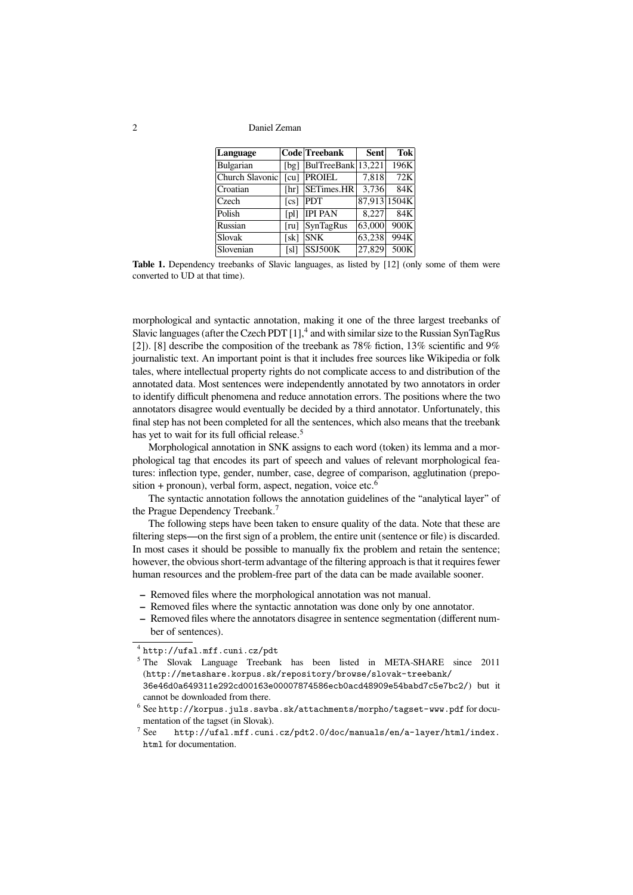| Language        |                           | Code Treebank      | Sent   | <b>Tok</b>   |
|-----------------|---------------------------|--------------------|--------|--------------|
| Bulgarian       | [bg]                      | BulTreeBank 13,221 |        | 196K         |
| Church Slavonic | $\lceil \text{cu} \rceil$ | <b>PROIEL</b>      | 7.818  | 72K          |
| Croatian        | [hr]                      | SETimes.HR         | 3,736  | 84K          |
| Czech           | $\lceil cs \rceil$        | <b>PDT</b>         |        | 87,913 1504K |
| Polish          | [pl]                      | <b>IPI PAN</b>     | 8,227  | 84K          |
| Russian         | [ru]                      | SynTagRus          | 63,000 | 900K         |
| Slovak          | [sk]                      | <b>SNK</b>         | 63,238 | 994K         |
| Slovenian       | [sl]                      | <b>SSJ500K</b>     | 27.829 | 500K         |

**Table 1.** Dependency treebanks of Slavic languages, as listed by [12] (only some of them were converted to UD at that time).

morphological and syntactic annotation, making it one of the three largest treebanks of Slavic languages (after the Czech PDT [1],<sup>4</sup> and with similar size to the Russian SynTagRus [2]). [8] describe the composition of the treebank as  $78\%$  fiction, 13% scientific and 9% journalistic text. An important point is that it includes free sources like Wikipedia or folk tales, where intellectual property rights do not complicate access to and distribution of the annotated data. Most sentences were independently annotated by two annotators in order to identify difficult phenomena and reduce annotation errors. The positions where the two annotators disagree would eventually be decided by a third annotator. Unfortunately, this final step has not been completed for all the sentences, which also means that the treebank has yet to wait for its full official release.<sup>5</sup>

Morphological annotation in SNK assigns to each word (token) its lemma and a morphological tag that encodes its part of speech and values of relevant morphological features: inflection type, gender, number, case, degree of comparison, agglutination (preposition  $+$  pronoun), verbal form, aspect, negation, voice etc.<sup>6</sup>

The syntactic annotation follows the annotation guidelines of the "analytical layer" of the Prague Dependency Treebank.<sup>7</sup>

The following steps have been taken to ensure quality of the data. Note that these are filtering steps—on the first sign of a problem, the entire unit (sentence or file) is discarded. In most cases it should be possible to manually fix the problem and retain the sentence; however, the obvious short-term advantage of the filtering approach is that it requires fewer human resources and the problem-free part of the data can be made available sooner.

- **–** Removed files where the morphological annotation was not manual.
- **–** Removed files where the syntactic annotation was done only by one annotator.
- **–** Removed files where the annotators disagree in sentence segmentation (different number of sentences).

cannot be downloaded from there.

<sup>4</sup> http://ufal.mff.cuni.cz/pdt

<sup>5</sup> The Slovak Language Treebank has been listed in META-SHARE since 2011 (http://metashare.korpus.sk/repository/browse/slovak-treebank/ 36e46d0a649311e292cd00163e00007874586ecb0acd48909e54babd7c5e7bc2/) but it

 $^6$  See http://korpus.juls.savba.sk/attachments/morpho/tagset-www.pdf for documentation of the tagset (in Slovak).

 $^7$  See http://ufal.mff.cuni.cz/pdt2.0/doc/manuals/en/a-layer/html/index. html for documentation.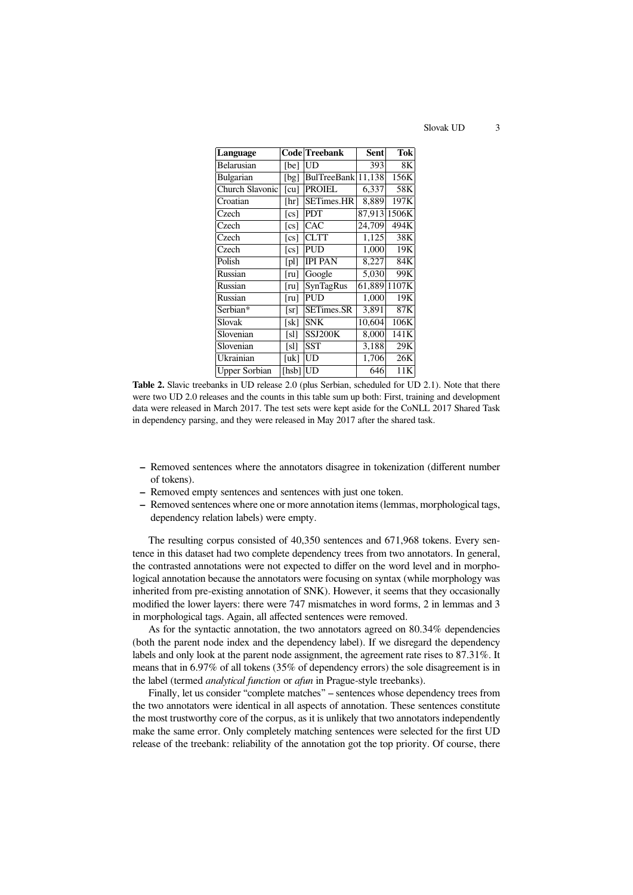Slovak UD 3

| Language             |                           | Code Treebank      | Sent   | <b>Tok</b> |
|----------------------|---------------------------|--------------------|--------|------------|
| Belarusian           | [be]                      | UD                 | 393    | 8Κ         |
| <b>Bulgarian</b>     | [bg]                      | BulTreeBank 11,138 |        | 156K       |
| Church Slavonic      | $\lceil \text{cu} \rceil$ | <b>PROIEL</b>      | 6,337  | 58K        |
| Croatian             | [hr]                      | <b>SETimes.HR</b>  | 8,889  | 197K       |
| Czech                | $\lceil cs \rceil$        | <b>PDT</b>         | 87.913 | 1506K      |
| Czech                | $\lceil cs \rceil$        | <b>CAC</b>         | 24.709 | 494K       |
| Czech                | $\lceil cs \rceil$        | <b>CLTT</b>        | 1,125  | 38K        |
| Czech                | $\lceil cs \rceil$        | <b>PUD</b>         | 1,000  | 19K        |
| Polish               | [pl]                      | <b>IPI PAN</b>     | 8,227  | 84K        |
| Russian              | $[\mathrm{ru}]$           | Google             | 5,030  | 99K        |
| Russian              | [ru]                      | SynTagRus          | 61,889 | 1107K      |
| Russian              | [ru]                      | <b>PUD</b>         | 1,000  | 19K        |
| Serbian*             | [sr]                      | <b>SETimes.SR</b>  | 3,891  | 87K        |
| Slovak               | [sk]                      | <b>SNK</b>         | 10,604 | 106K       |
| Slovenian            | [sl]                      | SSJ200K            | 8,000  | 141K       |
| Slovenian            | [s]                       | SST                | 3,188  | 29K        |
| Ukrainian            | [uk]                      | UD                 | 1,706  | 26K        |
| <b>Upper Sorbian</b> | [hsb]                     | UD                 | 646    | 11K        |

**Table 2.** Slavic treebanks in UD release 2.0 (plus Serbian, scheduled for UD 2.1). Note that there were two UD 2.0 releases and the counts in this table sum up both: First, training and development data were released in March 2017. The test sets were kept aside for the CoNLL 2017 Shared Task in dependency parsing, and they were released in May 2017 after the shared task.

- **–** Removed sentences where the annotators disagree in tokenization (different number of tokens).
- **–** Removed empty sentences and sentences with just one token.
- **–** Removed sentences where one or more annotation items (lemmas, morphological tags, dependency relation labels) were empty.

The resulting corpus consisted of 40,350 sentences and 671,968 tokens. Every sentence in this dataset had two complete dependency trees from two annotators. In general, the contrasted annotations were not expected to differ on the word level and in morphological annotation because the annotators were focusing on syntax (while morphology was inherited from pre-existing annotation of SNK). However, it seems that they occasionally modified the lower layers: there were 747 mismatches in word forms, 2 in lemmas and 3 in morphological tags. Again, all affected sentences were removed.

As for the syntactic annotation, the two annotators agreed on 80.34% dependencies (both the parent node index and the dependency label). If we disregard the dependency labels and only look at the parent node assignment, the agreement rate rises to 87.31%. It means that in 6.97% of all tokens (35% of dependency errors) the sole disagreement is in the label (termed *analytical function* or *afun* in Prague-style treebanks).

Finally, let us consider "complete matches" – sentences whose dependency trees from the two annotators were identical in all aspects of annotation. These sentences constitute the most trustworthy core of the corpus, as it is unlikely that two annotators independently make the same error. Only completely matching sentences were selected for the first UD release of the treebank: reliability of the annotation got the top priority. Of course, there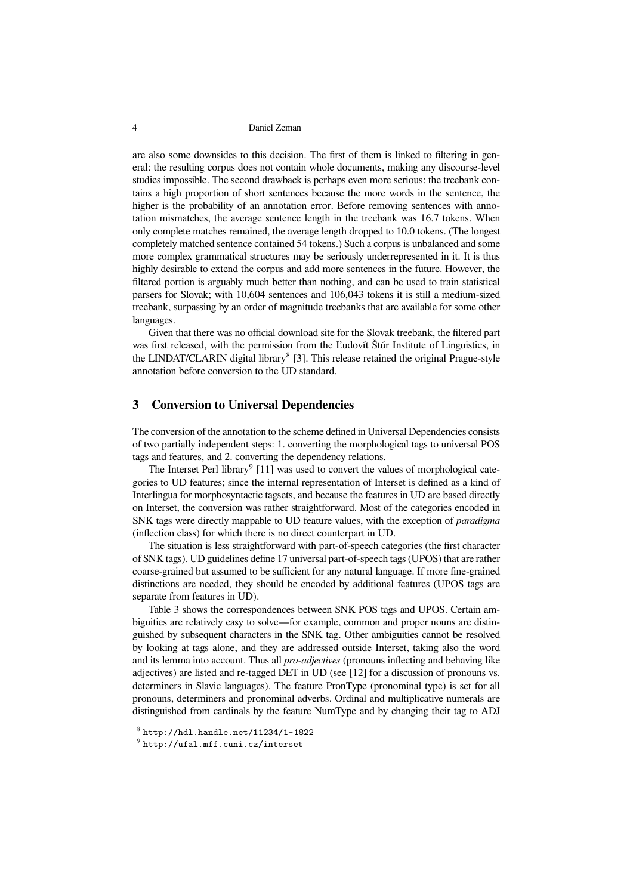are also some downsides to this decision. The first of them is linked to filtering in general: the resulting corpus does not contain whole documents, making any discourse-level studies impossible. The second drawback is perhaps even more serious: the treebank contains a high proportion of short sentences because the more words in the sentence, the higher is the probability of an annotation error. Before removing sentences with annotation mismatches, the average sentence length in the treebank was 16.7 tokens. When only complete matches remained, the average length dropped to 10.0 tokens. (The longest completely matched sentence contained 54 tokens.) Such a corpus is unbalanced and some more complex grammatical structures may be seriously underrepresented in it. It is thus highly desirable to extend the corpus and add more sentences in the future. However, the filtered portion is arguably much better than nothing, and can be used to train statistical parsers for Slovak; with 10,604 sentences and 106,043 tokens it is still a medium-sized treebank, surpassing by an order of magnitude treebanks that are available for some other languages.

Given that there was no official download site for the Slovak treebank, the filtered part was first released, with the permission from the Ľudovít Štúr Institute of Linguistics, in the LINDAT/CLARIN digital library<sup>8</sup> [3]. This release retained the original Prague-style annotation before conversion to the UD standard.

# **3 Conversion to Universal Dependencies**

The conversion of the annotation to the scheme defined in Universal Dependencies consists of two partially independent steps: 1. converting the morphological tags to universal POS tags and features, and 2. converting the dependency relations.

The Interset Perl library<sup>9</sup> [11] was used to convert the values of morphological categories to UD features; since the internal representation of Interset is defined as a kind of Interlingua for morphosyntactic tagsets, and because the features in UD are based directly on Interset, the conversion was rather straightforward. Most of the categories encoded in SNK tags were directly mappable to UD feature values, with the exception of *paradigma* (inflection class) for which there is no direct counterpart in UD.

The situation is less straightforward with part-of-speech categories (the first character of SNK tags). UD guidelines define 17 universal part-of-speech tags (UPOS) that are rather coarse-grained but assumed to be sufficient for any natural language. If more fine-grained distinctions are needed, they should be encoded by additional features (UPOS tags are separate from features in UD).

Table 3 shows the correspondences between SNK POS tags and UPOS. Certain ambiguities are relatively easy to solve—for example, common and proper nouns are distinguished by subsequent characters in the SNK tag. Other ambiguities cannot be resolved by looking at tags alone, and they are addressed outside Interset, taking also the word and its lemma into account. Thus all *pro-adjectives* (pronouns inflecting and behaving like adjectives) are listed and re-tagged DET in UD (see [12] for a discussion of pronouns vs. determiners in Slavic languages). The feature PronType (pronominal type) is set for all pronouns, determiners and pronominal adverbs. Ordinal and multiplicative numerals are distinguished from cardinals by the feature NumType and by changing their tag to ADJ

 $8$  http://hdl.handle.net/11234/1-1822

 $^9$  http://ufal.mff.cuni.cz/interset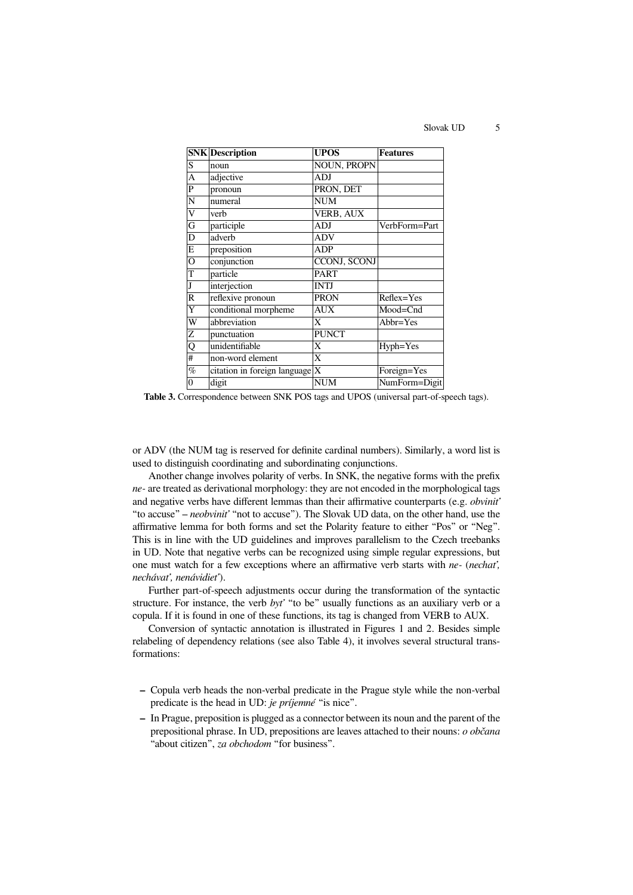Slovak UD 5

|                | <b>SNK</b> Description             | <b>UPOS</b>        | <b>Features</b> |
|----------------|------------------------------------|--------------------|-----------------|
| S              | noun                               | <b>NOUN, PROPN</b> |                 |
| A              | adjective                          | ADJ                |                 |
| P              | pronoun                            | PRON, DET          |                 |
| N              | numeral                            | <b>NUM</b>         |                 |
| V              | verb                               | <b>VERB, AUX</b>   |                 |
| $\overline{G}$ | participle                         | <b>ADJ</b>         | VerbForm=Part   |
| D              | adverb                             | <b>ADV</b>         |                 |
| E              | preposition                        | ADP                |                 |
| O              | conjunction                        | CCONJ, SCONJ       |                 |
| T              | particle                           | <b>PART</b>        |                 |
| J              | interjection                       | <b>INTJ</b>        |                 |
| $\mathbb{R}$   | reflexive pronoun                  | <b>PRON</b>        | $Reflex = Yes$  |
| Y              | conditional morpheme               | <b>AUX</b>         | Mood=Cnd        |
| W              | abbreviation                       | X                  | Abbr=Yes        |
| Z              | punctuation                        | <b>PUNCT</b>       |                 |
| Q              | unidentifiable                     | X                  | Hyph=Yes        |
| #              | non-word element                   | X                  |                 |
| $\%$           | citation in foreign language $ X $ |                    | Foreign=Yes     |
| 0              | digit                              | <b>NUM</b>         | NumForm=Digit   |
|                |                                    |                    |                 |

**Table 3.** Correspondence between SNK POS tags and UPOS (universal part-of-speech tags).

or ADV (the NUM tag is reserved for definite cardinal numbers). Similarly, a word list is used to distinguish coordinating and subordinating conjunctions.

Another change involves polarity of verbs. In SNK, the negative forms with the prefix *ne-* are treated as derivational morphology: they are not encoded in the morphological tags and negative verbs have different lemmas than their affirmative counterparts (e.g. *obviniť* "to accuse" – *neobviniť* "not to accuse"). The Slovak UD data, on the other hand, use the affirmative lemma for both forms and set the Polarity feature to either "Pos" or "Neg". This is in line with the UD guidelines and improves parallelism to the Czech treebanks in UD. Note that negative verbs can be recognized using simple regular expressions, but one must watch for a few exceptions where an affirmative verb starts with *ne-* (*nechať, nechávať, nenávidieť*).

Further part-of-speech adjustments occur during the transformation of the syntactic structure. For instance, the verb *byť* "to be" usually functions as an auxiliary verb or a copula. If it is found in one of these functions, its tag is changed from VERB to AUX.

Conversion of syntactic annotation is illustrated in Figures 1 and 2. Besides simple relabeling of dependency relations (see also Table 4), it involves several structural transformations:

- **–** Copula verb heads the non-verbal predicate in the Prague style while the non-verbal predicate is the head in UD: *je príjemné* "is nice".
- **–** In Prague, preposition is plugged as a connector between its noun and the parent of the prepositional phrase. In UD, prepositions are leaves attached to their nouns: *o občana* "about citizen", *za obchodom* "for business".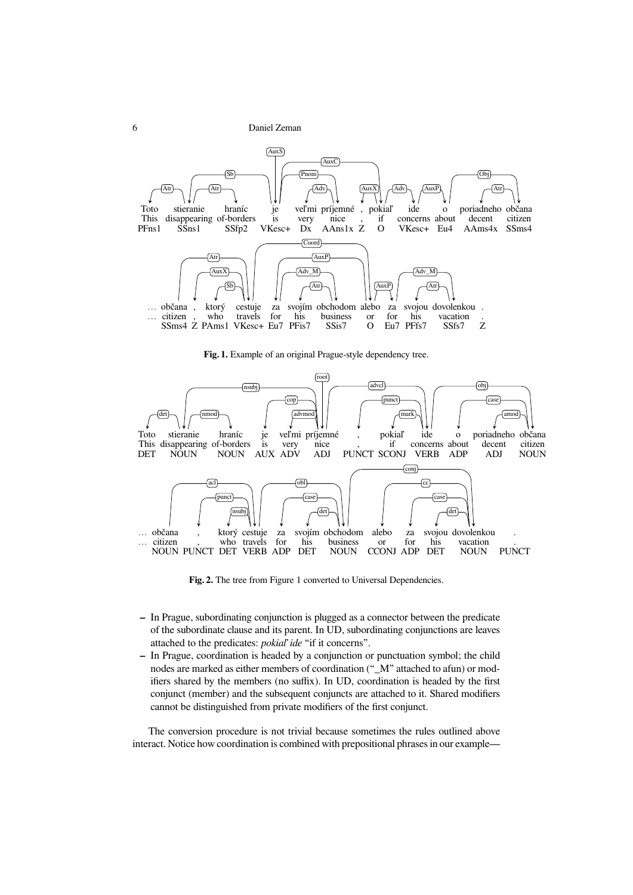

**Fig. 1.** Example of an original Prague-style dependency tree.



**Fig. 2.** The tree from Figure 1 converted to Universal Dependencies.

- **–** In Prague, subordinating conjunction is plugged as a connector between the predicate of the subordinate clause and its parent. In UD, subordinating conjunctions are leaves attached to the predicates: *pokiaľ ide* "if it concerns".
- **–** In Prague, coordination is headed by a conjunction or punctuation symbol; the child nodes are marked as either members of coordination ("\_M" attached to afun) or modifiers shared by the members (no suffix). In UD, coordination is headed by the first conjunct (member) and the subsequent conjuncts are attached to it. Shared modifiers cannot be distinguished from private modifiers of the first conjunct.

The conversion procedure is not trivial because sometimes the rules outlined above interact. Notice how coordination is combined with prepositional phrases in our example—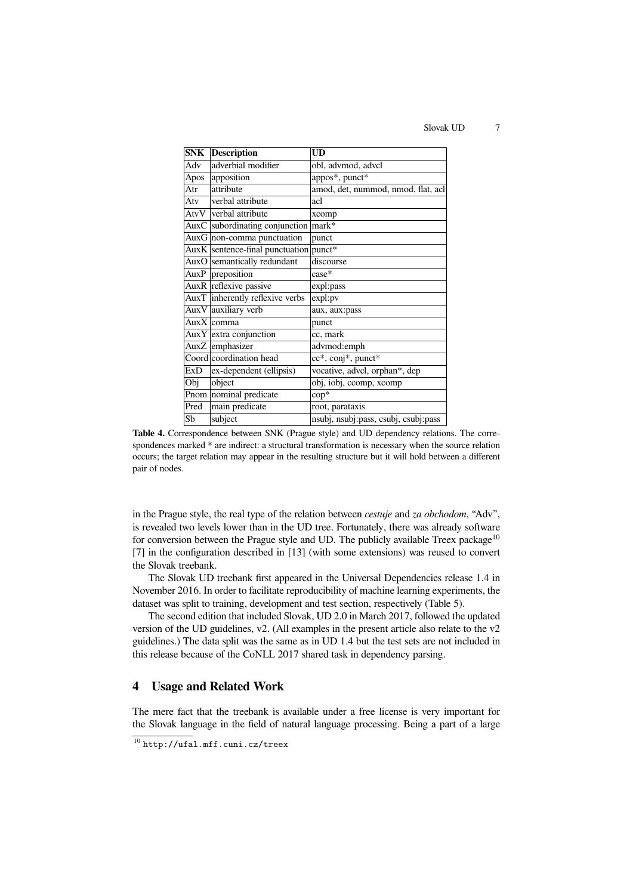Slovak UD 7

| <b>SNK</b> | <b>Description</b>                     | <b>UD</b>                            |
|------------|----------------------------------------|--------------------------------------|
| Adv        | adverbial modifier                     | obl, advmod, advcl                   |
| Apos       | apposition                             | appos*, punct*                       |
| Atr        | attribute                              | amod, det, nummod, nmod, flat, acl   |
| Atv        | verbal attribute                       | acl                                  |
|            | AtvV verbal attribute                  | xcomp                                |
|            | $AuxC$ subordinating conjunction       | mark*                                |
|            | Aux $G$ non-comma punctuation          | punct                                |
|            | AuxK sentence-final punctuation punct* |                                      |
|            | AuxO semantically redundant            | discourse                            |
| AuxP       | preposition                            | case*                                |
|            | AuxR reflexive passive                 | expl:pass                            |
|            | AuxT inherently reflexive verbs        | expl:pv                              |
|            | AuxV auxiliary verb                    | aux, aux:pass                        |
|            | AuxX comma                             | punct                                |
|            | $Aux Y$ extra conjunction              | cc, mark                             |
|            | AuxZ emphasizer                        | advmod:emph                          |
|            | Coord coordination head                | cc*, conj*, punct*                   |
| ExD        | ex-dependent (ellipsis)                | vocative, advcl, orphan*, dep        |
| Obj        | object                                 | obj, iobj, ccomp, xcomp              |
|            | Pnom nominal predicate                 | $\text{cop*}$                        |
| Pred       | main predicate                         | root, parataxis                      |
| Sb         | subject                                | nsubj, nsubj:pass, csubj, csubj:pass |

**Table 4.** Correspondence between SNK (Prague style) and UD dependency relations. The correspondences marked \* are indirect: a structural transformation is necessary when the source relation occurs; the target relation may appear in the resulting structure but it will hold between a different pair of nodes.

in the Prague style, the real type of the relation between *cestuje* and *za obchodom*, "Adv", is revealed two levels lower than in the UD tree. Fortunately, there was already software for conversion between the Prague style and UD. The publicly available Treex package<sup>10</sup> [7] in the configuration described in [13] (with some extensions) was reused to convert the Slovak treebank.

The Slovak UD treebank first appeared in the Universal Dependencies release 1.4 in November 2016. In order to facilitate reproducibility of machine learning experiments, the dataset was split to training, development and test section, respectively (Table 5).

The second edition that included Slovak, UD 2.0 in March 2017, followed the updated version of the UD guidelines, v2. (All examples in the present article also relate to the v2 guidelines.) The data split was the same as in UD 1.4 but the test sets are not included in this release because of the CoNLL 2017 shared task in dependency parsing.

#### **4 Usage and Related Work**

The mere fact that the treebank is available under a free license is very important for the Slovak language in the field of natural language processing. Being a part of a large

 $\frac{10 \text{ http://ufal.mff.cuni.cz/treex}}{$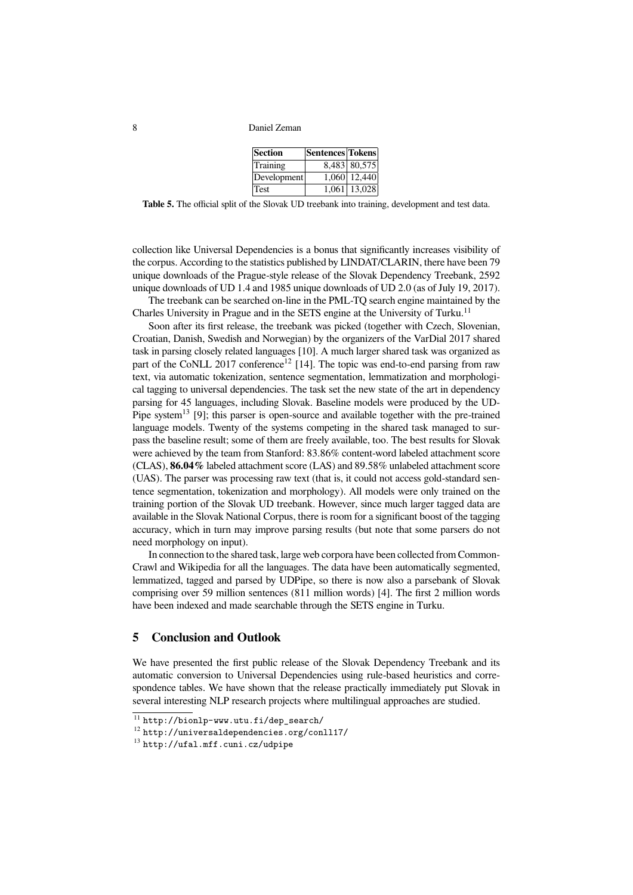| Section     | Sentences Tokens |                           |
|-------------|------------------|---------------------------|
| Training    |                  | 8,483 80,575              |
| Development |                  | $\overline{1,060}$ 12,440 |
| Test        |                  | 1,061 13,028              |

**Table 5.** The official split of the Slovak UD treebank into training, development and test data.

collection like Universal Dependencies is a bonus that significantly increases visibility of the corpus. According to the statistics published by LINDAT/CLARIN, there have been 79 unique downloads of the Prague-style release of the Slovak Dependency Treebank, 2592 unique downloads of UD 1.4 and 1985 unique downloads of UD 2.0 (as of July 19, 2017).

The treebank can be searched on-line in the PML-TQ search engine maintained by the Charles University in Prague and in the SETS engine at the University of Turku.<sup>11</sup>

Soon after its first release, the treebank was picked (together with Czech, Slovenian, Croatian, Danish, Swedish and Norwegian) by the organizers of the VarDial 2017 shared task in parsing closely related languages [10]. A much larger shared task was organized as part of the CoNLL 2017 conference<sup>12</sup> [14]. The topic was end-to-end parsing from raw text, via automatic tokenization, sentence segmentation, lemmatization and morphological tagging to universal dependencies. The task set the new state of the art in dependency parsing for 45 languages, including Slovak. Baseline models were produced by the UD-Pipe system<sup>13</sup> [9]; this parser is open-source and available together with the pre-trained language models. Twenty of the systems competing in the shared task managed to surpass the baseline result; some of them are freely available, too. The best results for Slovak were achieved by the team from Stanford: 83.86% content-word labeled attachment score (CLAS), **86.04%** labeled attachment score (LAS) and 89.58% unlabeled attachment score (UAS). The parser was processing raw text (that is, it could not access gold-standard sentence segmentation, tokenization and morphology). All models were only trained on the training portion of the Slovak UD treebank. However, since much larger tagged data are available in the Slovak National Corpus, there is room for a significant boost of the tagging accuracy, which in turn may improve parsing results (but note that some parsers do not need morphology on input).

In connection to the shared task, large web corpora have been collected from Common-Crawl and Wikipedia for all the languages. The data have been automatically segmented, lemmatized, tagged and parsed by UDPipe, so there is now also a parsebank of Slovak comprising over 59 million sentences (811 million words) [4]. The first 2 million words have been indexed and made searchable through the SETS engine in Turku.

## **5 Conclusion and Outlook**

We have presented the first public release of the Slovak Dependency Treebank and its automatic conversion to Universal Dependencies using rule-based heuristics and correspondence tables. We have shown that the release practically immediately put Slovak in several interesting NLP research projects where multilingual approaches are studied.

<sup>11</sup> http://bionlp-www.utu.fi/dep\_search/

<sup>12</sup> http://universaldependencies.org/conll17/

<sup>13</sup> http://ufal.mff.cuni.cz/udpipe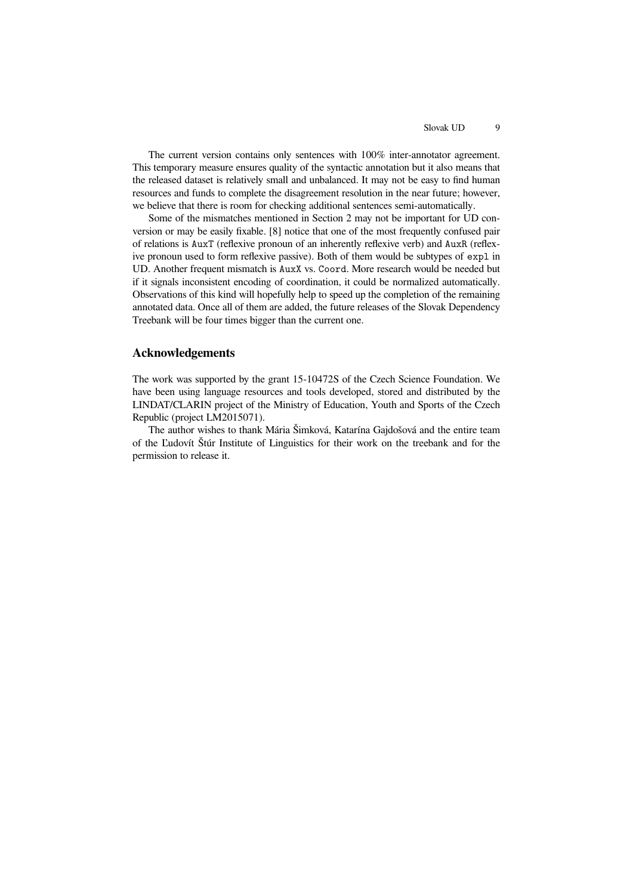The current version contains only sentences with 100% inter-annotator agreement. This temporary measure ensures quality of the syntactic annotation but it also means that the released dataset is relatively small and unbalanced. It may not be easy to find human resources and funds to complete the disagreement resolution in the near future; however, we believe that there is room for checking additional sentences semi-automatically.

Some of the mismatches mentioned in Section 2 may not be important for UD conversion or may be easily fixable. [8] notice that one of the most frequently confused pair of relations is AuxT (reflexive pronoun of an inherently reflexive verb) and AuxR (reflexive pronoun used to form reflexive passive). Both of them would be subtypes of expl in UD. Another frequent mismatch is AuxX vs. Coord. More research would be needed but if it signals inconsistent encoding of coordination, it could be normalized automatically. Observations of this kind will hopefully help to speed up the completion of the remaining annotated data. Once all of them are added, the future releases of the Slovak Dependency Treebank will be four times bigger than the current one.

#### **Acknowledgements**

The work was supported by the grant 15-10472S of the Czech Science Foundation. We have been using language resources and tools developed, stored and distributed by the LINDAT/CLARIN project of the Ministry of Education, Youth and Sports of the Czech Republic (project LM2015071).

The author wishes to thank Mária Šimková, Katarína Gajdošová and the entire team of the Ľudovít Štúr Institute of Linguistics for their work on the treebank and for the permission to release it.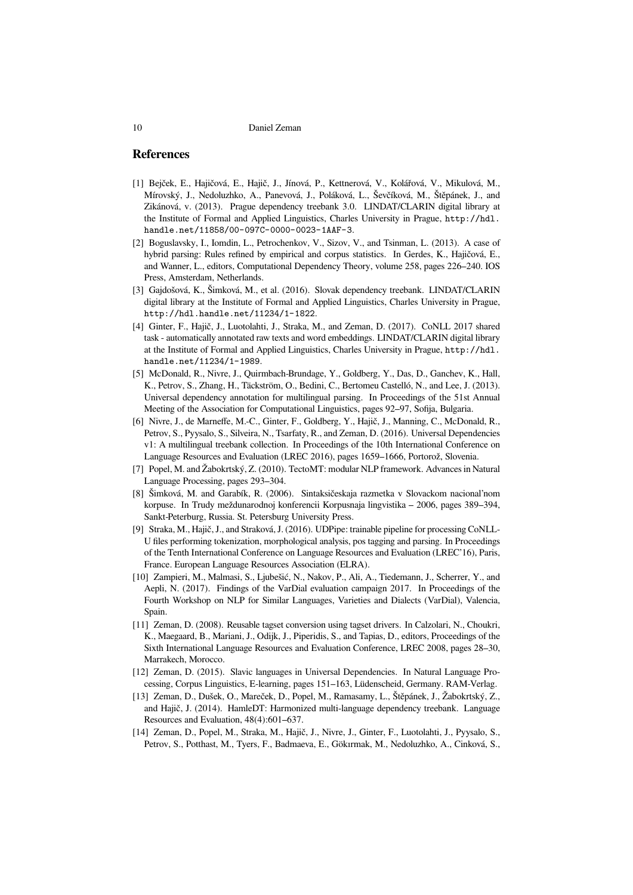#### **References**

- [1] Bejček, E., Hajičová, E., Hajič, J., Jínová, P., Kettnerová, V., Kolářová, V., Mikulová, M., Mírovský, J., Nedoluzhko, A., Panevová, J., Poláková, L., Ševčíková, M., Štěpánek, J., and Zikánová, v. (2013). Prague dependency treebank 3.0. LINDAT/CLARIN digital library at the Institute of Formal and Applied Linguistics, Charles University in Prague, http://hdl. handle.net/11858/00-097C-0000-0023-1AAF-3.
- [2] Boguslavsky, I., Iomdin, L., Petrochenkov, V., Sizov, V., and Tsinman, L. (2013). A case of hybrid parsing: Rules refined by empirical and corpus statistics. In Gerdes, K., Hajičová, E., and Wanner, L., editors, Computational Dependency Theory, volume 258, pages 226–240. IOS Press, Amsterdam, Netherlands.
- [3] Gajdošová, K., Šimková, M., et al. (2016). Slovak dependency treebank. LINDAT/CLARIN digital library at the Institute of Formal and Applied Linguistics, Charles University in Prague, http://hdl.handle.net/11234/1-1822.
- [4] Ginter, F., Hajič, J., Luotolahti, J., Straka, M., and Zeman, D. (2017). CoNLL 2017 shared task - automatically annotated raw texts and word embeddings. LINDAT/CLARIN digital library at the Institute of Formal and Applied Linguistics, Charles University in Prague, http://hdl. handle.net/11234/1-1989.
- [5] McDonald, R., Nivre, J., Quirmbach-Brundage, Y., Goldberg, Y., Das, D., Ganchev, K., Hall, K., Petrov, S., Zhang, H., Täckström, O., Bedini, C., Bertomeu Castelló, N., and Lee, J. (2013). Universal dependency annotation for multilingual parsing. In Proceedings of the 51st Annual Meeting of the Association for Computational Linguistics, pages 92–97, Sofija, Bulgaria.
- [6] Nivre, J., de Marneffe, M.-C., Ginter, F., Goldberg, Y., Hajič, J., Manning, C., McDonald, R., Petrov, S., Pyysalo, S., Silveira, N., Tsarfaty, R., and Zeman, D. (2016). Universal Dependencies v1: A multilingual treebank collection. In Proceedings of the 10th International Conference on Language Resources and Evaluation (LREC 2016), pages 1659–1666, Portorož, Slovenia.
- [7] Popel, M. and Žabokrtský, Z. (2010). TectoMT: modular NLP framework. Advances in Natural Language Processing, pages 293–304.
- [8] Šimková, M. and Garabík, R. (2006). Sintaksičeskaja razmetka v Slovackom nacional'nom korpuse. In Trudy meždunarodnoj konferencii Korpusnaja lingvistika – 2006, pages 389–394, Sankt-Peterburg, Russia. St. Petersburg University Press.
- [9] Straka, M., Hajič, J., and Straková, J. (2016). UDPipe: trainable pipeline for processing CoNLL-U files performing tokenization, morphological analysis, pos tagging and parsing. In Proceedings of the Tenth International Conference on Language Resources and Evaluation (LREC'16), Paris, France. European Language Resources Association (ELRA).
- [10] Zampieri, M., Malmasi, S., Ljubešić, N., Nakov, P., Ali, A., Tiedemann, J., Scherrer, Y., and Aepli, N. (2017). Findings of the VarDial evaluation campaign 2017. In Proceedings of the Fourth Workshop on NLP for Similar Languages, Varieties and Dialects (VarDial), Valencia, Spain.
- [11] Zeman, D. (2008). Reusable tagset conversion using tagset drivers. In Calzolari, N., Choukri, K., Maegaard, B., Mariani, J., Odijk, J., Piperidis, S., and Tapias, D., editors, Proceedings of the Sixth International Language Resources and Evaluation Conference, LREC 2008, pages 28–30, Marrakech, Morocco.
- [12] Zeman, D. (2015). Slavic languages in Universal Dependencies. In Natural Language Processing, Corpus Linguistics, E-learning, pages 151–163, Lüdenscheid, Germany. RAM-Verlag.
- [13] Zeman, D., Dušek, O., Mareček, D., Popel, M., Ramasamy, L., Štěpánek, J., Žabokrtský, Z., and Hajič, J. (2014). HamleDT: Harmonized multi-language dependency treebank. Language Resources and Evaluation, 48(4):601–637.
- [14] Zeman, D., Popel, M., Straka, M., Hajič, J., Nivre, J., Ginter, F., Luotolahti, J., Pyysalo, S., Petrov, S., Potthast, M., Tyers, F., Badmaeva, E., Gökırmak, M., Nedoluzhko, A., Cinková, S.,